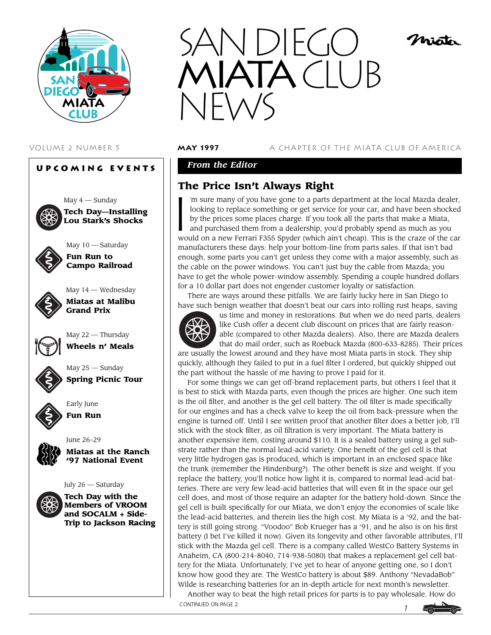

# **Upcoming Events** May  $4$  — Sunday **Tech Day—Installing Lou Stark's Shocks** May 10 — Saturday **Fun Run to Campo Railroad** May 14 — Wednesday **Miatas at Malibu Grand Prix** May 22 — Thursday **Wheels n' Meals** May 25 — Sunday **Spring Picnic Tour** Early June **Fun Run** June 26–29 **Miatas at the Ranch '97 National Event** July 26 — Saturday **Tech Day with the Members of VROOM and SOCALM + Side-Trip to Jackson Racing**



#### VOLUME 2 NUMBER 5 **may 1997** A CHAPTER OF THE MIATA CLUB OF AMERICA

## *From the Editor*

**The Price Isn't Always Right**<br>
I'm sure many of you have gone to a parts of<br>
looking to replace something or get service<br>
by the prices some places charge. If you to<br>
and purchased them from a dealership. vol 'm sure many of you have gone to a parts department at the local Mazda dealer, looking to replace something or get service for your car, and have been shocked by the prices some places charge. If you took all the parts that make a Miata, and purchased them from a dealership, you'd probably spend as much as you would on a new Ferrari F355 Spyder (which ain't cheap). This is the craze of the car manufacturers these days: help your bottom-line from parts sales. If that isn't bad enough, some parts you can't get unless they come with a major assembly, such as the cable on the power windows. You can't just buy the cable from Mazda; you have to get the whole power-window assembly. Spending a couple hundred dollars for a 10 dollar part does not engender customer loyalty or satisfaction.

There are ways around these pitfalls. We are fairly lucky here in San Diego to have such benign weather that doesn't beat our cars into rolling rust heaps, saving



us time and money in restorations. But when we do need parts, dealers like Cush offer a decent club discount on prices that are fairly reasonable (compared to other Mazda dealers). Also, there are Mazda dealers that do mail order, such as Roebuck Mazda (800-633-8285). Their prices

are usually the lowest around and they have most Miata parts in stock. They ship quickly, although they failed to put in a fuel filter I ordered, but quickly shipped out the part without the hassle of me having to prove I paid for it.

For some things we can get off-brand replacement parts, but others I feel that it is best to stick with Mazda parts, even though the prices are higher. One such item is the oil filter, and another is the gel cell battery. The oil filter is made specifically for our engines and has a check valve to keep the oil from back-pressure when the engine is turned off. Until I see written proof that another filter does a better job, I'll stick with the stock filter, as oil filtration is very important. The Miata battery is another expensive item, costing around \$110. It is a sealed battery using a gel substrate rather than the normal lead-acid variety. One benefit of the gel cell is that very little hydrogen gas is produced, which is important in an enclosed space like the trunk (remember the Hindenburg?). The other benefit is size and weight. If you replace the battery, you'll notice how light it is, compared to normal lead-acid batteries. There are very few lead-acid batteries that will even fit in the space our gel cell does, and most of those require an adapter for the battery hold-down. Since the gel cell is built specifically for our Miata, we don't enjoy the economies of scale like the lead-acid batteries, and therein lies the high cost. My Miata is a '92, and the battery is still going strong. "Voodoo" Bob Krueger has a '91, and he also is on his first battery (I bet I've killed it now). Given its longevity and other favorable attributes, I'll stick with the Mazda gel cell. There is a company called WestCo Battery Systems in Anaheim, CA (800-214-8040, 714-938-5080) that makes a replacement gel cell battery for the Miata. Unfortunately, I've yet to hear of anyone getting one, so I don't know how good they are. The WestCo battery is about \$89. Anthony "NevadaBob" Wilde is researching batteries for an in-depth article for next month's newsletter.

*1* Another way to beat the high retail prices for parts is to pay wholesale. How do CONTINUED ON PAGE 2

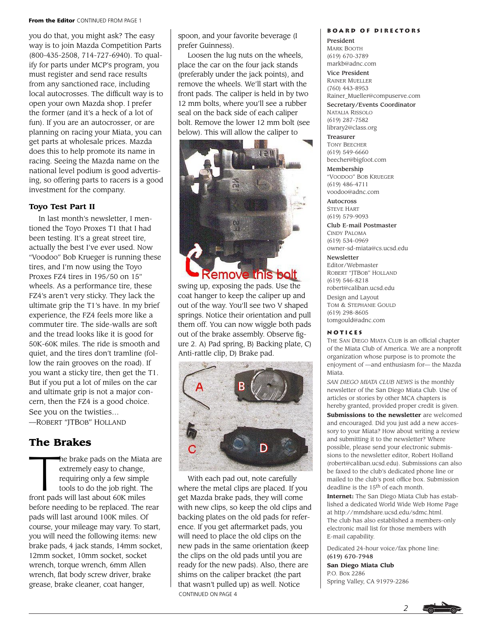#### **From the Editor** CONTINUED FROM PAGE 1

you do that, you might ask? The easy way is to join Mazda Competition Parts (800-435-2508, 714-727-6940). To qualify for parts under MCP's program, you must register and send race results from any sanctioned race, including local autocrosses. The difficult way is to open your own Mazda shop. I prefer the former (and it's a heck of a lot of fun). If you are an autocrosser, or are planning on racing your Miata, you can get parts at wholesale prices. Mazda does this to help promote its name in racing. Seeing the Mazda name on the national level podium is good advertising, so offering parts to racers is a good investment for the company.

#### **Toyo Test Part II**

In last month's newsletter, I mentioned the Toyo Proxes T1 that I had been testing. It's a great street tire, actually the best I've ever used. Now "Voodoo" Bob Krueger is running these tires, and I'm now using the Toyo Proxes FZ4 tires in 195/50 on 15" wheels. As a performance tire, these FZ4's aren't very sticky. They lack the ultimate grip the T1's have. In my brief experience, the FZ4 feels more like a commuter tire. The side-walls are soft and the tread looks like it is good for 50K-60K miles. The ride is smooth and quiet, and the tires don't tramline (follow the rain grooves on the road). If you want a sticky tire, then get the T1. But if you put a lot of miles on the car and ultimate grip is not a major concern, then the FZ4 is a good choice. See you on the twisties… —ROBERT "JTBOB" HOLLAND

# **The Brakes**

he brake pads on the Miata are extremely easy to change, requiring only a few simple tools to do the job right. The front pads will last about 60K miles before needing to be replaced. The rear pads will last around 100K miles. Of course, your mileage may vary. To start, you will need the following items: new brake pads, 4 jack stands, 14mm socket, 12mm socket, 10mm socket, socket wrench, torque wrench, 6mm Allen wrench, flat body screw driver, brake grease, brake cleaner, coat hanger,

spoon, and your favorite beverage (I prefer Guinness).

Loosen the lug nuts on the wheels, place the car on the four jack stands (preferably under the jack points), and remove the wheels. We'll start with the front pads. The caliper is held in by two 12 mm bolts, where you'll see a rubber seal on the back side of each caliper bolt. Remove the lower 12 mm bolt (see below). This will allow the caliper to



swing up, exposing the pads. Use the coat hanger to keep the caliper up and out of the way. You'll see two V shaped springs. Notice their orientation and pull them off. You can now wiggle both pads out of the brake assembly. Observe figure 2. A) Pad spring, B) Backing plate, C) Anti-rattle clip, D) Brake pad.



With each pad out, note carefully where the metal clips are placed. If you get Mazda brake pads, they will come with new clips, so keep the old clips and backing plates on the old pads for reference. If you get aftermarket pads, you will need to place the old clips on the new pads in the same orientation (keep the clips on the old pads until you are ready for the new pads). Also, there are shims on the caliper bracket (the part that wasn't pulled up) as well. Notice CONTINUED ON PAGE 4

#### **Board of Directors**

President MARK BOOTH (619) 670-3789 markb@adnc.com

Vice President RAINER MUELLER

(760) 443-8953 Rainer\_Mueller@compuserve.com

Secretary/Events Coordinator NATALIA RISSOLO (619) 287-7582 library2@class.org

Treasurer TONY BEECHER (619) 549-6660 beecher@bigfoot.com

Membership "VOODOO" BOB KRUEGER (619) 486-4711 voodoo@adnc.com

Autocross STEVE HART (619) 579-9093

Club E-mail Postmaster CINDY PALOMA (619) 534-0969 owner-sd-miata@cs.ucsd.edu

Newsletter

Editor/Webmaster ROBERT "JTBOB" HOLLAND (619) 546-8218 robert@caliban.ucsd.edu Design and Layout TOM & STEPHANIE GOULD (619) 298-8605 tomgould@adnc.com

#### **Notices**

THE SAN DIEGO MIATA CLUB is an official chapter of the Miata Club of America. We are a nonprofit organization whose purpose is to promote the enjoyment of —and enthusiasm for— the Mazda Miata.

*SAN DIEGO MIATA CLUB NEWS* is the monthly newsletter of the San Diego Miata Club. Use of articles or stories by other MCA chapters is hereby granted, provided proper credit is given. **Submissions to the newsletter** are welcomed and encouraged. Did you just add a new accessory to your Miata? How about writing a review and submitting it to the newsletter? Where possible, please send your electronic submissions to the newsletter editor, Robert Holland (robert@caliban.ucsd.edu). Submissions can also be faxed to the club's dedicated phone line or mailed to the club's post office box. Submission deadline is the 15th of each month.

**Internet:** The San Diego Miata Club has established a dedicated World Wide Web Home Page at http://mmdshare.ucsd.edu/sdmc.html. The club has also established a members-only electronic mail list for those members with E-mail capability.

Dedicated 24-hour voice/fax phone line: (619) 670-7948

**San Diego Miata Club** P.O. Box 2286 Spring Valley, CA 91979-2286

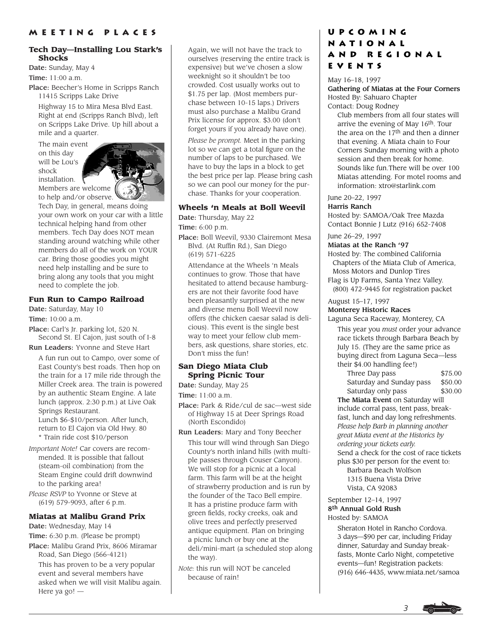#### **Tech Day—Installing Lou Stark's Shocks**

Date: Sunday, May 4 Time: 11:00 a.m.

Place: Beecher's Home in Scripps Ranch 11415 Scripps Lake Drive

Highway 15 to Mira Mesa Blvd East. Right at end (Scripps Ranch Blvd), left on Scripps Lake Drive. Up hill about a mile and a quarter.

The main event on this day will be Lou's shock installation.



Tech Day, in general, means doing your own work on your car with a little technical helping hand from other members. Tech Day does NOT mean standing around watching while other members do all of the work on YOUR car. Bring those goodies you might need help installing and be sure to bring along any tools that you might need to complete the job.

### **Fun Run to Campo Railroad**

Date: Saturday, May 10

Time: 10:00 a.m.

Place: Carl's Jr. parking lot, 520 N. Second St. El Cajon, just south of I-8

Run Leaders: Yvonne and Steve Hart

A fun run out to Campo, over some of East County's best roads. Then hop on the train for a 17 mile ride through the Miller Creek area. The train is powered by an authentic Steam Engine. A late lunch (approx. 2:30 p.m.) at Live Oak Springs Restaurant.

Lunch \$6-\$10/person. After lunch, return to El Cajon via Old Hwy. 80 \* Train ride cost \$10/person

*Important Note!* Car covers are recommended. It is possible that fallout (steam-oil combination) from the Steam Engine could drift downwind to the parking area!

*Please RSVP* to Yvonne or Steve at (619) 579-9093, after 6 p.m.

### **Miatas at Malibu Grand Prix**

Date: Wednesday, May 14

Time: 6:30 p.m. (Please be prompt) Place: Malibu Grand Prix, 8606 Miramar

Road, San Diego (566-4121)

This has proven to be a very popular event and several members have asked when we will visit Malibu again. Here ya go! —

Again, we will not have the track to ourselves (reserving the entire track is expensive) but we've chosen a slow weeknight so it shouldn't be too crowded. Cost usually works out to \$1.75 per lap. (Most members purchase between 10-15 laps.) Drivers must also purchase a Malibu Grand Prix license for approx. \$3.00 (don't forget yours if you already have one).

*Please be prompt.* Meet in the parking lot so we can get a total figure on the number of laps to be purchased. We have to buy the laps in a block to get the best price per lap. Please bring cash so we can pool our money for the purchase. Thanks for your cooperation.

### **Wheels 'n Meals at Boll Weevil**

Date: Thursday, May 22

Time: 6:00 p.m.

Place: Boll Weevil, 9330 Clairemont Mesa Blvd. (At Ruffin Rd.), San Diego (619) 571-6225

Attendance at the Wheels 'n Meals continues to grow. Those that have hesitated to attend because hamburgers are not their favorite food have been pleasantly surprised at the new and diverse menu Boll Weevil now offers (the chicken caesar salad is delicious). This event is the single best way to meet your fellow club members, ask questions, share stories, etc. Don't miss the fun!

#### **San Diego Miata Club Spring Picnic Tour**

Date: Sunday, May 25

Time: 11:00 a.m.

- Place: Park & Ride/cul de sac—west side of Highway 15 at Deer Springs Road (North Escondido)
- Run Leaders: Mary and Tony Beecher This tour will wind through San Diego County's north inland hills (with multiple passes through Couser Canyon). We will stop for a picnic at a local farm. This farm will be at the height of strawberry production and is run by the founder of the Taco Bell empire. It has a pristine produce farm with green fields, rocky creeks, oak and olive trees and perfectly preserved antique equipment. Plan on bringing a picnic lunch or buy one at the deli/mini-mart (a scheduled stop along the way).
- *Note:* this run will NOT be canceled because of rain!

# **Upcoming National and Regional Events**

May 16–18, 1997 Gathering of Miatas at the Four Corners Hosted By: Sahuaro Chapter Contact: Doug Rodney

Club members from all four states will arrive the evening of May 16th. Tour the area on the  $17<sup>th</sup>$  and then a dinner that evening. A Miata chain to Four Corners Sunday morning with a photo session and then break for home. Sounds like fun.There will be over 100 Miatas attending. For motel rooms and information: xtro@starlink.com

# June 20–22, 1997

Harris Ranch Hosted by: SAMOA/Oak Tree Mazda Contact Bonnie J Lutz (916) 652-7408

### June 26–29, 1997

Miatas at the Ranch '97

- Hosted by: The combined California Chapters of the Miata Club of America, Moss Motors and Dunlop Tires
- Flag is Up Farms, Santa Ynez Valley. (800) 472-9445 for registration packet

#### August 15–17, 1997 Monterey Historic Races

Laguna Seca Raceway, Monterey, CA

This year you *must* order your advance race tickets through Barbara Beach by July 15. (They are the same price as buying direct from Laguna Seca—less their \$4.00 handling fee!)

Three Day pass \$75.00 Saturday and Sunday pass \$50.00 Saturday only pass \$30.00

The Miata Event on Saturday will include corral pass, tent pass, breakfast, lunch and day long refreshments. *Please help Barb in planning another great Miata event at the Historics by ordering your tickets early.* Send a check for the cost of race tickets plus \$30 per person for the event to: Barbara Beach Wolfson 1315 Buena Vista Drive Vista, CA 92083

#### September 12–14, 1997 8th Annual Gold Rush Hosted by: SAMOA

Sheraton Hotel in Rancho Cordova. 3 days—\$90 per car, including Friday dinner, Saturday and Sunday breakfasts, Monte Carlo Night, competetive events—fun! Registration packets: (916) 646-4435, www.miata.net/samoa

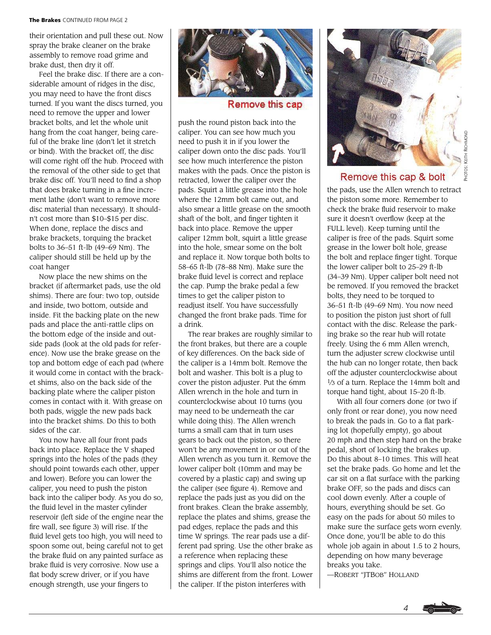their orientation and pull these out. Now spray the brake cleaner on the brake assembly to remove road grime and brake dust, then dry it off.

Feel the brake disc. If there are a considerable amount of ridges in the disc, you may need to have the front discs turned. If you want the discs turned, you need to remove the upper and lower bracket bolts, and let the whole unit hang from the coat hanger, being careful of the brake line (don't let it stretch or bind). With the bracket off, the disc will come right off the hub. Proceed with the removal of the other side to get that brake disc off. You'll need to find a shop that does brake turning in a fine increment lathe (don't want to remove more disc material than necessary). It shouldn't cost more than \$10–\$15 per disc. When done, replace the discs and brake brackets, torquing the bracket bolts to 36–51 ft-lb (49–69 Nm). The caliper should still be held up by the coat hanger

Now place the new shims on the bracket (if aftermarket pads, use the old shims). There are four: two top, outside and inside, two bottom, outside and inside. Fit the backing plate on the new pads and place the anti-rattle clips on the bottom edge of the inside and outside pads (look at the old pads for reference). Now use the brake grease on the top and bottom edge of each pad (where it would come in contact with the bracket shims, also on the back side of the backing plate where the caliper piston comes in contact with it. With grease on both pads, wiggle the new pads back into the bracket shims. Do this to both sides of the car.

You now have all four front pads back into place. Replace the V shaped springs into the holes of the pads (they should point towards each other, upper and lower). Before you can lower the caliper, you need to push the piston back into the caliper body. As you do so, the fluid level in the master cylinder reservoir (left side of the engine near the fire wall, see figure 3) will rise. If the fluid level gets too high, you will need to spoon some out, being careful not to get the brake fluid on any painted surface as brake fluid is very corrosive. Now use a flat body screw driver, or if you have enough strength, use your fingers to



Remove this cap

push the round piston back into the caliper. You can see how much you need to push it in if you lower the caliper down onto the disc pads. You'll see how much interference the piston makes with the pads. Once the piston is retracted, lower the caliper over the pads. Squirt a little grease into the hole where the 12mm bolt came out, and also smear a little grease on the smooth shaft of the bolt, and finger tighten it back into place. Remove the upper caliper 12mm bolt, squirt a little grease into the hole, smear some on the bolt and replace it. Now torque both bolts to 58–65 ft-lb (78–88 Nm). Make sure the brake fluid level is correct and replace the cap. Pump the brake pedal a few times to get the caliper piston to readjust itself. You have successfully changed the front brake pads. Time for a drink.

The rear brakes are roughly similar to the front brakes, but there are a couple of key differences. On the back side of the caliper is a 14mm bolt. Remove the bolt and washer. This bolt is a plug to cover the piston adjuster. Put the 6mm Allen wrench in the hole and turn in counterclockwise about 10 turns (you may need to be underneath the car while doing this). The Allen wrench turns a small cam that in turn uses gears to back out the piston, so there won't be any movement in or out of the Allen wrench as you turn it. Remove the lower caliper bolt (10mm and may be covered by a plastic cap) and swing up the caliper (see figure 4). Remove and replace the pads just as you did on the front brakes. Clean the brake assembly, replace the plates and shims, grease the pad edges, replace the pads and this time W springs. The rear pads use a different pad spring. Use the other brake as a reference when replacing these springs and clips. You'll also notice the shims are different from the front. Lower the caliper. If the piston interferes with



PHOTOS: KEITH RICHMOND

# Remove this cap & bolt

the pads, use the Allen wrench to retract the piston some more. Remember to check the brake fluid reservoir to make sure it doesn't overflow (keep at the FULL level). Keep turning until the caliper is free of the pads. Squirt some grease in the lower bolt hole, grease the bolt and replace finger tight. Torque the lower caliper bolt to 25–29 ft-lb (34–39 Nm). Upper caliper bolt need not be removed. If you removed the bracket bolts, they need to be torqued to 36–51 ft-lb (49–69 Nm). You now need to position the piston just short of full contact with the disc. Release the parking brake so the rear hub will rotate freely. Using the 6 mm Allen wrench, turn the adjuster screw clockwise until the hub can no longer rotate, then back off the adjuster counterclockwise about <sup>1</sup>/3 of a turn. Replace the 14mm bolt and torque hand tight, about 15–20 ft-lb.

With all four corners done (or two if only front or rear done), you now need to break the pads in. Go to a flat parking lot (hopefully empty), go about 20 mph and then step hard on the brake pedal, short of locking the brakes up. Do this about 8–10 times. This will heat set the brake pads. Go home and let the car sit on a flat surface with the parking brake OFF, so the pads and discs can cool down evenly. After a couple of hours, everything should be set. Go easy on the pads for about 50 miles to make sure the surface gets worn evenly. Once done, you'll be able to do this whole job again in about 1.5 to 2 hours, depending on how many beverage breaks you take.

—ROBERT "JTBOB" HOLLAND

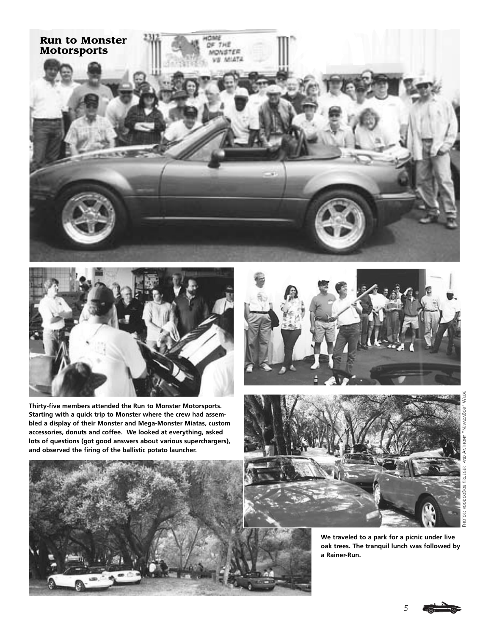



**Thirty-five members attended the Run to Monster Motorsports. Starting with a quick trip to Monster where the crew had assembled a display of their Monster and Mega-Monster Miatas, custom accessories, donuts and coffee. We looked at everything, asked lots of questions (got good answers about various superchargers), and observed the firing of the ballistic potato launcher.** 







**We traveled to a park for a picnic under live oak trees. The tranquil lunch was followed by a Rainer-Run.**

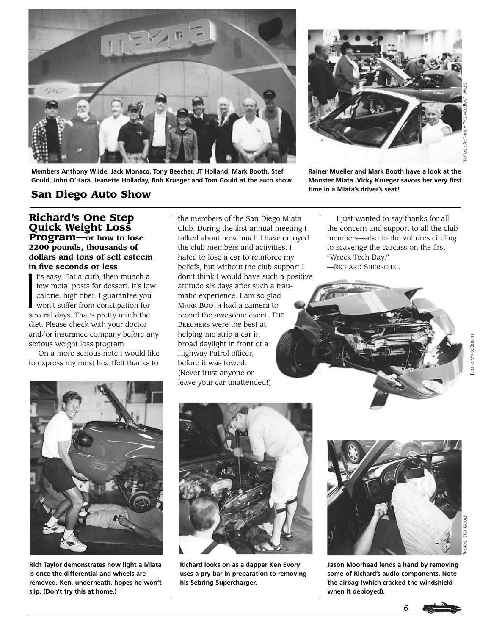



**time in a Miata's driver's seat!**

**Richard's One Step San Diego Auto Show**

**Members Anthony Wilde, Jack Monaco, Tony Beecher, JT Holland, Mark Booth, Stef Gould, John O'Hara, Jeanette Holladay, Bob Krueger and Tom Gould at the auto show.**

**Quick Weight Loss Program—or how to lose 2200 pounds, thousands of dollars and tons of self esteem** 

**in five seconds or less**<br>
I's easy. Eat a curb, then<br>
few metal posts for dess<br>
calorie, high fiber. I guar<br>
won't suffer from constitu t's easy. Eat a curb, then munch a few metal posts for dessert. It's low calorie, high fiber. I guarantee you won't suffer from constipation for several days. That's pretty much the diet. Please check with your doctor and/or insurance company before any serious weight loss program.

On a more serious note I would like to express my most heartfelt thanks to

the members of the San Diego Miata Club. During the first annual meeting I talked about how much I have enjoyed the club members and activities. I hated to lose a car to reinforce my beliefs, but without the club support I don't think I would have such a positive attitude six days after such a traumatic experience. I am so glad MARK BOOTH had a camera to record the awesome event. THE BEECHERS were the best at helping me strip a car in broad daylight in front of a Highway Patrol officer, before it was towed. (Never trust anyone or leave your car unattended!)

I just wanted to say thanks for all the concern and support to all the club members—also to the vultures circling to scavenge the carcass on the first "Wreck Tech Day." —RICHARD SHERSCHEL





**Rich Taylor demonstrates how light a Miata is once the differential and wheels are removed. Ken, underneath, hopes he won't slip. (Don't try this at home.)**

**Richard looks on as a dapper Ken Evory uses a pry bar in preparation to removing his Sebring Supercharger.**



**Jason Moorhead lends a hand by removing some of Richard's audio components. Note the airbag (which cracked the windshield when it deployed).**

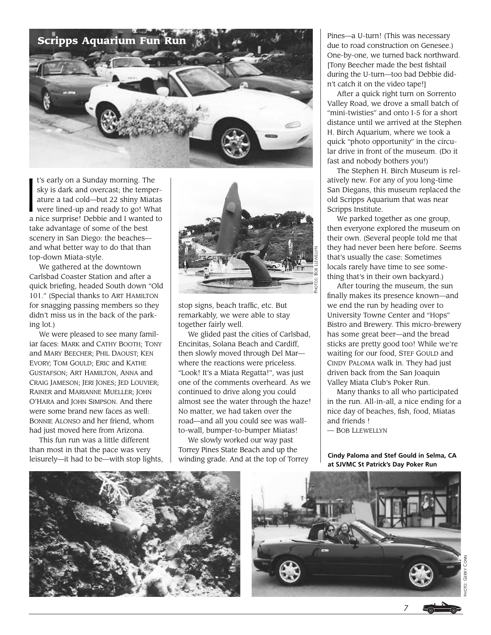

 $\begin{array}{c}\n\text{t} \\
\text{s} \\
\text{a} \\
\text{v}\n\end{array}$ t's early on a Sunday morning. The sky is dark and overcast; the temperature a tad cold—but 22 shiny Miatas were lined-up and ready to go! What a nice surprise! Debbie and I wanted to take advantage of some of the best scenery in San Diego: the beaches and what better way to do that than top-down Miata-style.

We gathered at the downtown Carlsbad Coaster Station and after a quick briefing, headed South down "Old 101." (Special thanks to ART HAMILTON for snagging passing members so they didn't miss us in the back of the parking lot.)

We were pleased to see many familiar faces: MARK and CATHY BOOTH; TONY and MARY BEECHER; PHIL DAOUST; KEN EVORY; TOM GOULD; ERIC and KATHE GUSTAFSON; ART HAMILTON, ANNA and CRAIG JAMESON; JERI JONES; JED LOUVIER; RAINER and MARIANNE MUELLER; JOHN O'HARA and JOHN SIMPSON. And there were some brand new faces as well: BONNIE ALONSO and her friend, whom had just moved here from Arizona.

This fun run was a little different than most in that the pace was very leisurely—it had to be—with stop lights,



stop signs, beach traffic, etc. But remarkably, we were able to stay together fairly well.

We glided past the cities of Carlsbad, Encinitas, Solana Beach and Cardiff, then slowly moved through Del Mar where the reactions were priceless. "Look! It's a Miata Regatta!", was just one of the comments overheard. As we continued to drive along you could almost see the water through the haze! No matter, we had taken over the road—and all you could see was wallto-wall, bumper-to-bumper Miatas!

We slowly worked our way past Torrey Pines State Beach and up the winding grade. And at the top of Torrey Pines—a U-turn! (This was necessary due to road construction on Genesee.) One-by-one, we turned back northward. [Tony Beecher made the best fishtail during the U-turn—too bad Debbie didn't catch it on the video tape!]

After a quick right turn on Sorrento Valley Road, we drove a small batch of "mini-twisties" and onto I-5 for a short distance until we arrived at the Stephen H. Birch Aquarium, where we took a quick "photo opportunity" in the circular drive in front of the museum. (Do it fast and nobody bothers you!)

The Stephen H. Birch Museum is relatively new. For any of you long-time San Diegans, this museum replaced the old Scripps Aquarium that was near Scripps Institute.

We parked together as one group, then everyone explored the museum on their own. (Several people told me that they had never been here before. Seems that's usually the case: Sometimes locals rarely have time to see something that's in their own backyard.)

After touring the museum, the sun finally makes its presence known—and we end the run by heading over to University Towne Center and "Hops" Bistro and Brewery. This micro-brewery has some great beer—and the bread sticks are pretty good too! While we're waiting for our food, STEF GOULD and CINDY PALOMA walk in. They had just driven back from the San Joaquin Valley Miata Club's Poker Run.

Many thanks to all who participated in the run. All-in-all, a nice ending for a nice day of beaches, fish, food, Miatas and friends ! — BOB LLEWELLYN

**Cindy Paloma and Stef Gould in Selma, CA at SJVMC St Patrick's Day Poker Run**





PHOTO: GERRY CONN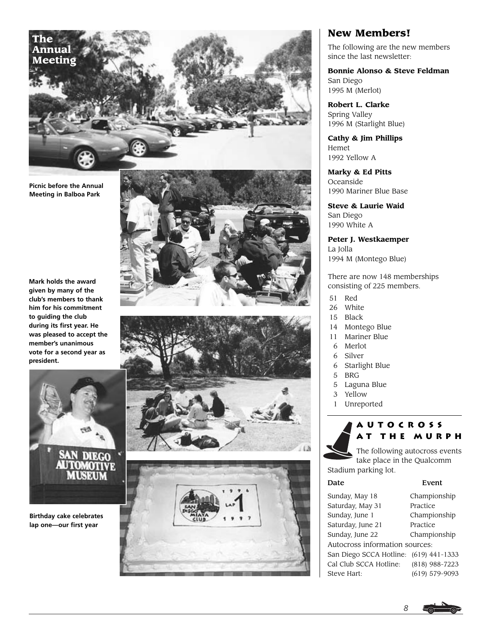

**Picnic before the Annual Meeting in Balboa Park**

**Mark holds the award given by many of the club's members to thank him for his commitment to guiding the club during its first year. He was pleased to accept the member's unanimous vote for a second year as president.**



**Birthday cake celebrates lap one—our first year**







# **New Members!**

The following are the new members since the last newsletter:

**Bonnie Alonso & Steve Feldman** San Diego 1995 M (Merlot)

**Robert L. Clarke** Spring Valley 1996 M (Starlight Blue)

**Cathy & Jim Phillips** Hemet 1992 Yellow A

**Marky & Ed Pitts** Oceanside 1990 Mariner Blue Base

**Steve & Laurie Waid** San Diego 1990 White A

**Peter J. Westkaemper** La Jolla 1994 M (Montego Blue)

There are now 148 memberships consisting of 225 members.

- 51 Red
- 26 White
- 15 Black
- 14 Montego Blue
- 11 Mariner Blue
- 6 Merlot
- 6 Silver
- 6 Starlight Blue
- 5 BRG
- 5 Laguna Blue
- 3 Yellow
- 1 Unreported

# **Autocross at the Murph**

The following autocross events take place in the Qualcomm Stadium parking lot.

| Date                           | Event            |
|--------------------------------|------------------|
| Sunday, May 18                 | Championship     |
| Saturday, May 31               | Practice         |
| Sunday, June 1                 | Championship     |
| Saturday, June 21              | Practice         |
| Sunday, June 22                | Championship     |
| Autocross information sources: |                  |
| San Diego SCCA Hotline:        | $(619)$ 441-1333 |
| Cal Club SCCA Hotline:         | (818) 988-7223   |
| Steve Hart:                    | (619) 579-9093   |